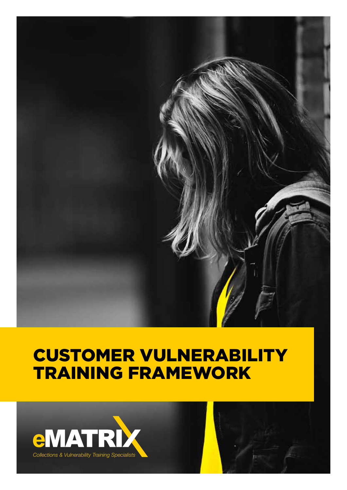

# CUSTOMER VULNERABILITY TRAINING FRAMEWORK

![](_page_0_Picture_2.jpeg)

![](_page_0_Picture_3.jpeg)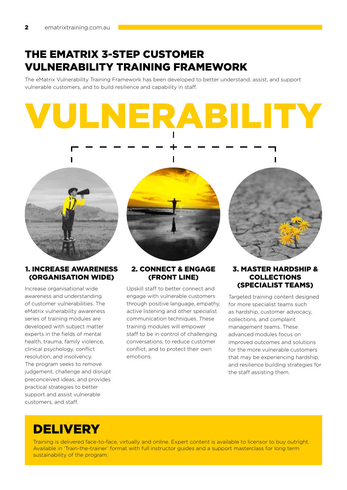## The EMATRIX 3-step Customer Vulnerability Training Framework

The eMatrix Vulnerability Training Framework has been developed to better understand, assist, and support vulnerable customers, and to build resilience and capability in staff.

# Vulnerability

![](_page_1_Picture_4.jpeg)

### 1. INCREASE AWARENESS (ORGANISATION WIDE)

Increase organisational wide awareness and understanding of customer vulnerabilities. The eMatrix vulnerability awareness series of training modules are developed with subject matter experts in the fields of mental health, trauma, family violence, clinical psychology, conflict resolution, and insolvency. The program seeks to remove judgement, challenge and disrupt preconceived ideas, and provides practical strategies to better support and assist vulnerable customers, and staff.

![](_page_1_Picture_7.jpeg)

### 2. CONNECT & ENGAGE (fRONT LINE)

Upskill staff to better connect and engage with vulnerable customers through positive language, empathy, active listening and other specialist communication techniques. These training modules will empower staff to be in control of challenging conversations, to reduce customer conflict, and to protect their own emotions.

![](_page_1_Picture_10.jpeg)

### 3. MASTER HARDSHIP & COLLECTIONS (SPECIALIST TEAMS)

Targeted training content designed for more specialist teams such as hardship, customer advocacy, collections, and complaint management teams. These advanced modules focus on improved outcomes and solutions for the more vulnerable customers that may be experiencing hardship, and resilience building strategies for the staff assisting them.

# **DELIVERY**

Training is delivered face-to-face, virtually and online. Expert content is available to licensor to buy outright. Available in 'Train-the-trainer' format with full instructor guides and a support masterclass for long term sustainability of the program.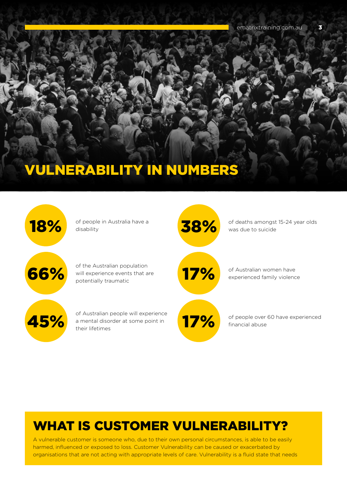# Vulnerability IN NUMBERS

![](_page_2_Figure_2.jpeg)

# WHAT IS CUSTOMER VULNERABILITY?

A vulnerable customer is someone who, due to their own personal circumstances, is able to be easily harmed, influenced or exposed to loss. Customer Vulnerability can be caused or exacerbated by organisations that are not acting with appropriate levels of care. Vulnerability is a fluid state that needs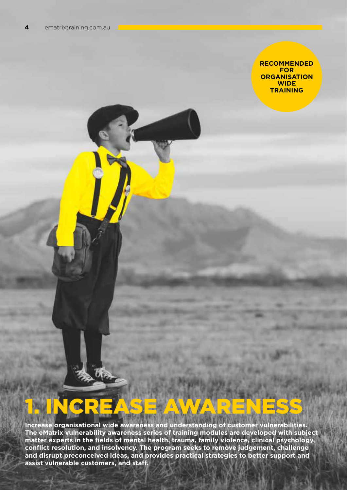### **recommended for organisation wide training**

# 1. INCREASE AWARENESS

**Increase organisational wide awareness and understanding of customer vulnerabilities. The eMatrix vulnerability awareness series of training modules are developed with subject matter experts in the fields of mental health, trauma, family violence, clinical psychology, conflict resolution, and insolvency. The program seeks to remove judgement, challenge and disrupt preconceived ideas, and provides practical strategies to better support and assist vulnerable customers, and staff.**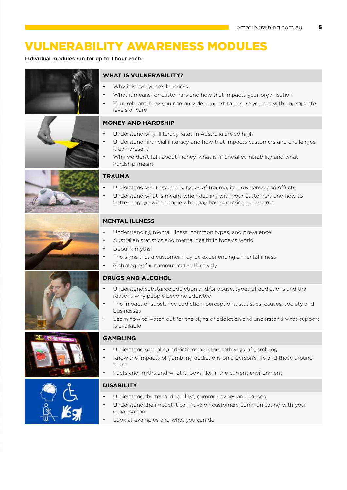# VULNERABILITY AWARENESS MODULES

Individual modules run for up to 1 hour each.

![](_page_4_Picture_3.jpeg)

![](_page_4_Picture_4.jpeg)

![](_page_4_Picture_5.jpeg)

![](_page_4_Picture_6.jpeg)

![](_page_4_Picture_7.jpeg)

![](_page_4_Picture_8.jpeg)

![](_page_4_Picture_9.jpeg)

### **WHAT IS VULNERABILITY?**

- Why it is everyone's business.
- What it means for customers and how that impacts your organisation
- Your role and how you can provide support to ensure you act with appropriate levels of care

### **Money and hardship**

- Understand why illiteracy rates in Australia are so high
- Understand financial illiteracy and how that impacts customers and challenges it can present
- Why we don't talk about money, what is financial vulnerability and what hardship means

### **Trauma**

- Understand what trauma is, types of trauma, its prevalence and effects
- Understand what is means when dealing with your customers and how to better engage with people who may have experienced trauma.

### **Mental Illness**

- Understanding mental illness, common types, and prevalence
- Australian statistics and mental health in today's world
- Debunk myths
- The signs that a customer may be experiencing a mental illness
- • 6 strategies for communicate effectively

### **Drugs and Alcohol**

- Understand substance addiction and/or abuse, types of addictions and the reasons why people become addicted
- The impact of substance addiction, perceptions, statistics, causes, society and businesses
- Learn how to watch out for the signs of addiction and understand what support is available

### **GAMBLING**

- Understand gambling addictions and the pathways of gambling
- Know the impacts of gambling addictions on a person's life and those around them
- Facts and myths and what it looks like in the current environment

### **Disability**

- Understand the term 'disability', common types and causes.
- Understand the impact it can have on customers communicating with your organisation
- Look at examples and what you can do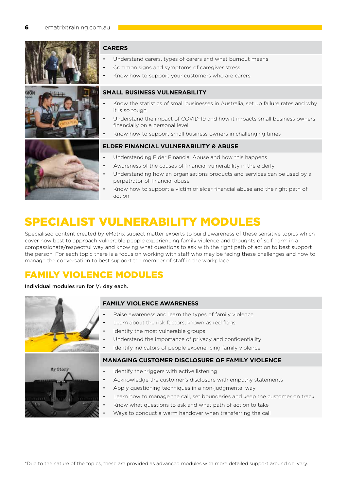![](_page_5_Picture_1.jpeg)

### **Carers**

- Understand carers, types of carers and what burnout means
- Common signs and symptoms of caregiver stress
- Know how to support your customers who are carers

### **Small Business vulnerability**

- Know the statistics of small businesses in Australia, set up failure rates and why it is so tough
- Understand the impact of COVID-19 and how it impacts small business owners financially on a personal level
- Know how to support small business owners in challenging times

### **Elder financial VULNERABILITY & abuse**

- Understanding Elder Financial Abuse and how this happens
- Awareness of the causes of financial vulnerability in the elderly
- Understanding how an organisations products and services can be used by a perpetrator of financial abuse
- Know how to support a victim of elder financial abuse and the right path of action

# SPECIALIST VULNERABILITY MODULES

Specialised content created by eMatrix subject matter experts to build awareness of these sensitive topics which cover how best to approach vulnerable people experiencing family violence and thoughts of self harm in a compassionate/respectful way and knowing what questions to ask with the right path of action to best support the person. For each topic there is a focus on working with staff who may be facing these challenges and how to manage the conversation to best support the member of staff in the workplace.

### FAMILY VIOLENCE MODULES

### Individual modules run for 1 /2 day each.

![](_page_5_Picture_19.jpeg)

### **FAMILY VIOLENCE AWARENESS**

- Raise awareness and learn the types of family violence
- Learn about the risk factors, known as red flags
- Identify the most vulnerable groups
- Understand the importance of privacy and confidentiality
- Identify indicators of people experiencing family violence

![](_page_5_Picture_26.jpeg)

### **MANAGING CUSTOMER DISCLOSURE OF FAMILY VIOLENCE**

- Identify the triggers with active listening
- Acknowledge the customer's disclosure with empathy statements
- Apply questioning techniques in a non-judgmental way
- Learn how to manage the call, set boundaries and keep the customer on track
- Know what questions to ask and what path of action to take
- Ways to conduct a warm handover when transferring the call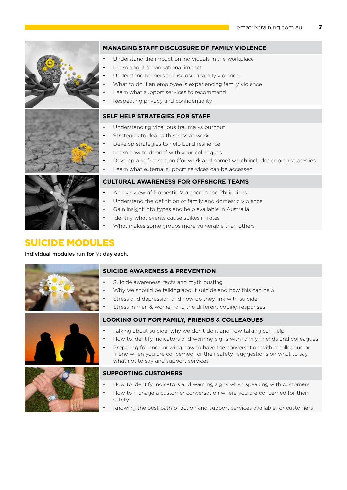![](_page_6_Picture_1.jpeg)

### **MANAGING STAFF DISCLOSURE OF FAMILY VIOLENCE**

- Understand the impact on individuals in the workplace
- Learn about organisational impact
- Understand barriers to disclosing family violence
- What to do if an employee is experiencing family violence
- Learn what support services to recommend
- Respecting privacy and confidentiality

### **SELF HELP STRATEGIES FOR STAFF**

- Understanding vicarious trauma vs burnout
- Strategies to deal with stress at work
- Develop strategies to help build resilience
- Learn how to debrief with your colleagues
- Develop a self-care plan (for work and home) which includes coping strategies
- Learn what external support services can be accessed

![](_page_6_Picture_16.jpeg)

- An overview of Domestic Violence in the Philippines
- Understand the definition of family and domestic violence
- Gain insight into types and help available in Australia
- Identify what events cause spikes in rates
- What makes some groups more vulnerable than others

### SUICIDE MODULES

### Individual modules run for 1 /2 day each.

![](_page_6_Picture_24.jpeg)

![](_page_6_Picture_25.jpeg)

### **SUICIDE AWARENESS & PREVENTION**

- Suicide awareness, facts and myth busting
- Why we should be talking about suicide and how this can help
- Stress and depression and how do they link with suicide
- Stress in men & women and the different coping responses

### **LOOKING OUT FOR FAMILY, FRIENDS & COLLEAGUES**

- Talking about suicide; why we don't do it and how talking can help
- How to identify indicators and warning signs with family, friends and colleagues
- Preparing for and knowing how to have the conversation with a colleague or friend when you are concerned for their safety –suggestions on what to say, what not to say and support services

### **SUPPORTING CUSTOMERS**

- How to identify indicators and warning signs when speaking with customers
- How to manage a customer conversation where you are concerned for their safety
- Knowing the best path of action and support services available for customers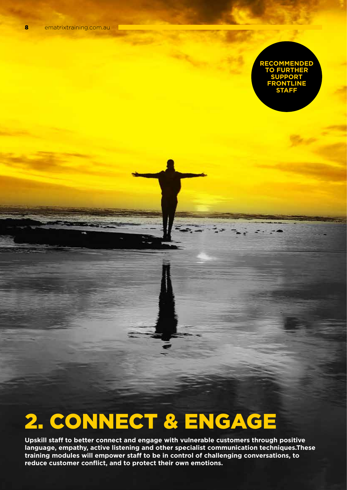### **recommended TO FURTHE SUP INE S**

# 2. CONNECT & ENGAGE

**Upskill staff to better connect and engage with vulnerable customers through positive language, empathy, active listening and other specialist communication techniques.These training modules will empower staff to be in control of challenging conversations, to reduce customer conflict, and to protect their own emotions.**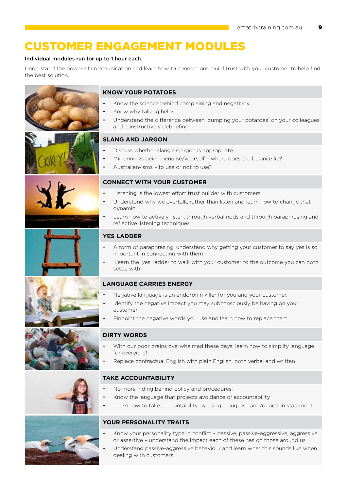# customer engagement modules

### Individual modules run for up to 1 hour each.

Understand the power of communication and learn how to connect and build trust with your customer to help find the best solution.

![](_page_8_Picture_4.jpeg)

### **KNOW YOUR POTATOES**

- Know the science behind complaining and negativity
- Know why talking helps
- Understand the difference between 'dumping your potatoes' on your colleagues and constructively debriefing

### **SLANG AND JARGON**

- Discuss whether slang or jargon is appropriate
- Mirroring vs being genuine/yourself where does the balance lie?
- Australian-isms to use or not to use?

### **CONNECT WITH YOUR CUSTOMER**

- I istening is the lowest effort trust builder with customers
- Understand why we overtalk, rather than listen and learn how to change that dynamic
- Learn how to actively listen, through verbal nods and through paraphrasing and reflective listening techniques

### **YES LADDER**

- A form of paraphrasing, understand why getting your customer to say yes is so important in connecting with them
- • 'Learn the 'yes' ladder to walk with your customer to the outcome you can both settle with

### **LANGUAGE CARRIES ENERGY**

- Negative language is an endorphin killer for you and your customer.
- Identify the negative impact you may subconsciously be having on your customer
- Pinpoint the negative words you use and learn how to replace them

### **DIRTY WORDS**

- With our poor brains overwhelmed these days, learn how to simplify language for everyone!
- Replace contractual English with plain English, both verbal and written

### **TAKE ACCOUNTABILITY**

- No more hiding behind policy and procedures!
- Know the language that projects avoidance of accountability
- Learn how to take accountability by using a purpose and/or action statement.

![](_page_8_Picture_31.jpeg)

### **YOUR PERSONALITY TRAITS**

- Know your personality type in conflict passive, passive-aggressive, aggressive or assertive – understand the impact each of these has on those around us
- Understand passive-aggressive behaviour and learn what this sounds like when dealing with customers

![](_page_8_Picture_35.jpeg)

![](_page_8_Picture_36.jpeg)

![](_page_8_Picture_37.jpeg)

![](_page_8_Picture_38.jpeg)

![](_page_8_Picture_39.jpeg)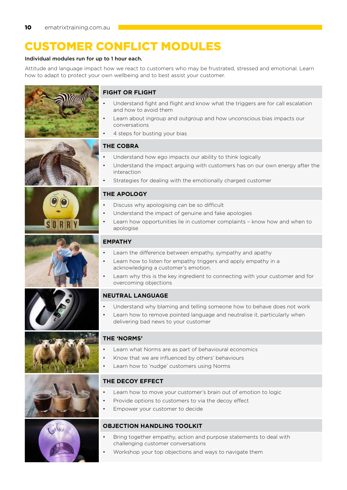# customer CONFLICT modules

### Individual modules run for up to 1 hour each.

Attitude and language impact how we react to customers who may be frustrated, stressed and emotional. Learn how to adapt to protect your own wellbeing and to best assist your customer.

![](_page_9_Picture_4.jpeg)

![](_page_9_Picture_5.jpeg)

![](_page_9_Picture_6.jpeg)

# **FIGHT OR FLIGHT**

- Understand fight and flight and know what the triggers are for call escalation and how to avoid them
- Learn about ingroup and outgroup and how unconscious bias impacts our conversations
- 4 steps for busting your bias

### **THE COBRA**

- Understand how ego impacts our ability to think logically
- Understand the impact arguing with customers has on our own energy after the interaction
- Strategies for dealing with the emotionally charged customer

### **THE APOLOGY**

- Discuss why apologising can be so difficult
- Understand the impact of genuine and fake apologies
- Learn how opportunities lie in customer complaints know how and when to apologise

### **EMPATHY**

- Learn the difference between empathy, sympathy and apathy
- Learn how to listen for empathy triggers and apply empathy in a acknowledging a customer's emotion.
- Learn why this is the key ingredient to connecting with your customer and for overcoming objections

### **NEUTRAL LANGUAGE**

- Understand why blaming and telling someone how to behave does not work
- Learn how to remove pointed language and neutralise it, particularly when delivering bad news to your customer

### **THE 'NORMS'**

- Learn what Norms are as part of behavioural economics
- Know that we are influenced by others' behaviours
- Learn how to 'nudge' customers using Norms

### **THE DECOY EFFECT**

- Learn how to move your customer's brain out of emotion to logic
- Provide options to customers to via the decoy effect
- Empower your customer to decide

### **OBJECTION HANDLING TOOLKIT**

- Bring together empathy, action and purpose statements to deal with challenging customer conversations
- Workshop your top objections and ways to navigate them

![](_page_9_Picture_37.jpeg)

![](_page_9_Picture_38.jpeg)

![](_page_9_Picture_39.jpeg)

![](_page_9_Picture_40.jpeg)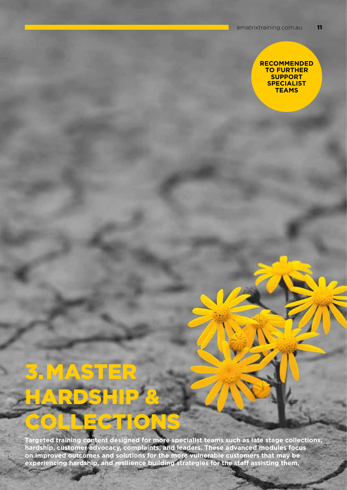### **recommended to further support specialist teams**

# **MASTER** hardship &

ECTION

 $C$ 

G

**Targeted training content designed for more specialist teams such as late stage collections, hardship, customer advocacy, complaints, and leaders. These advanced modules focus on improved outcomes and solutions for the more vulnerable customers that may be experiencing hardship, and resilience building strategies for the staff assisting them.**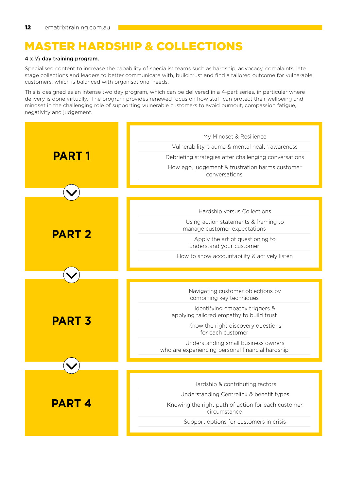# MASTER HARDSHIP & COLLECTIONS

### 4 x  $\frac{1}{2}$  day training program.

Specialised content to increase the capability of specialist teams such as hardship, advocacy, complaints, late stage collections and leaders to better communicate with, build trust and find a tailored outcome for vulnerable customers, which is balanced with organisational needs.

This is designed as an intense two day program, which can be delivered in a 4-part series, in particular where delivery is done virtually. The program provides renewed focus on how staff can protect their wellbeing and mindset in the challenging role of supporting vulnerable customers to avoid burnout, compassion fatigue, negativity and judgement.

| <b>PART 1</b> | My Mindset & Resilience                                            |
|---------------|--------------------------------------------------------------------|
|               | Vulnerability, trauma & mental health awareness                    |
|               | Debriefing strategies after challenging conversations              |
|               | How ego, judgement & frustration harms customer                    |
|               | conversations                                                      |
|               |                                                                    |
|               |                                                                    |
| <b>PART 2</b> | Hardship versus Collections                                        |
|               | Using action statements & framing to                               |
|               | manage customer expectations                                       |
|               | Apply the art of questioning to<br>understand your customer        |
|               | How to show accountability & actively listen                       |
|               |                                                                    |
|               |                                                                    |
| <b>PART 3</b> | Navigating customer objections by                                  |
|               | combining key techniques                                           |
|               | Identifying empathy triggers &                                     |
|               | applying tailored empathy to build trust                           |
|               | Know the right discovery questions<br>for each customer            |
|               | Understanding small business owners                                |
|               | who are experiencing personal financial hardship                   |
|               |                                                                    |
|               |                                                                    |
| <b>PART 4</b> | Hardship & contributing factors                                    |
|               | Understanding Centrelink & benefit types                           |
|               | Knowing the right path of action for each customer<br>circumstance |
|               | Support options for customers in crisis                            |
|               |                                                                    |